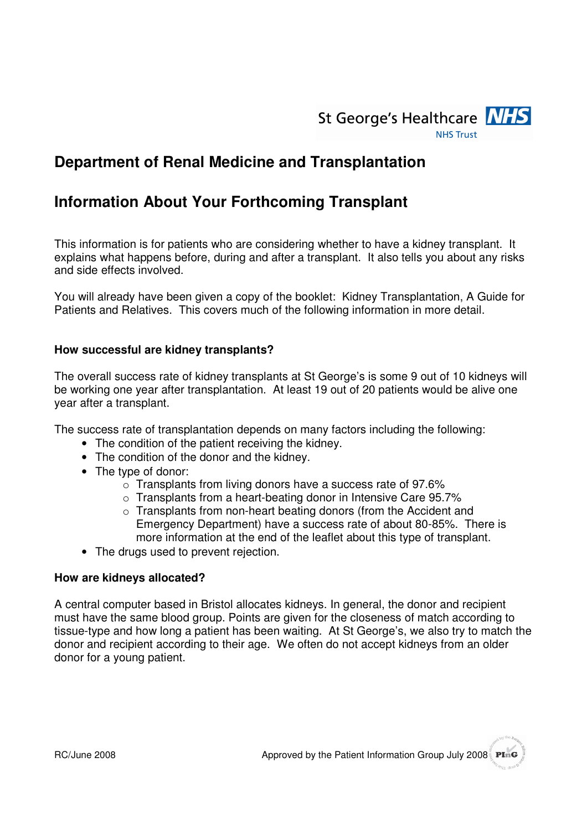

# **Department of Renal Medicine and Transplantation**

# **Information About Your Forthcoming Transplant**

This information is for patients who are considering whether to have a kidney transplant. It explains what happens before, during and after a transplant. It also tells you about any risks and side effects involved.

You will already have been given a copy of the booklet: Kidney Transplantation, A Guide for Patients and Relatives. This covers much of the following information in more detail.

#### **How successful are kidney transplants?**

The overall success rate of kidney transplants at St George's is some 9 out of 10 kidneys will be working one year after transplantation. At least 19 out of 20 patients would be alive one year after a transplant.

The success rate of transplantation depends on many factors including the following:

- The condition of the patient receiving the kidney.
- The condition of the donor and the kidney.
- The type of donor:
	- o Transplants from living donors have a success rate of 97.6%
	- $\circ$  Transplants from a heart-beating donor in Intensive Care 95.7%
	- $\circ$  Transplants from non-heart beating donors (from the Accident and Emergency Department) have a success rate of about 80-85%. There is more information at the end of the leaflet about this type of transplant.
- The drugs used to prevent rejection.

#### **How are kidneys allocated?**

A central computer based in Bristol allocates kidneys. In general, the donor and recipient must have the same blood group. Points are given for the closeness of match according to tissue-type and how long a patient has been waiting. At St George's, we also try to match the donor and recipient according to their age. We often do not accept kidneys from an older donor for a young patient.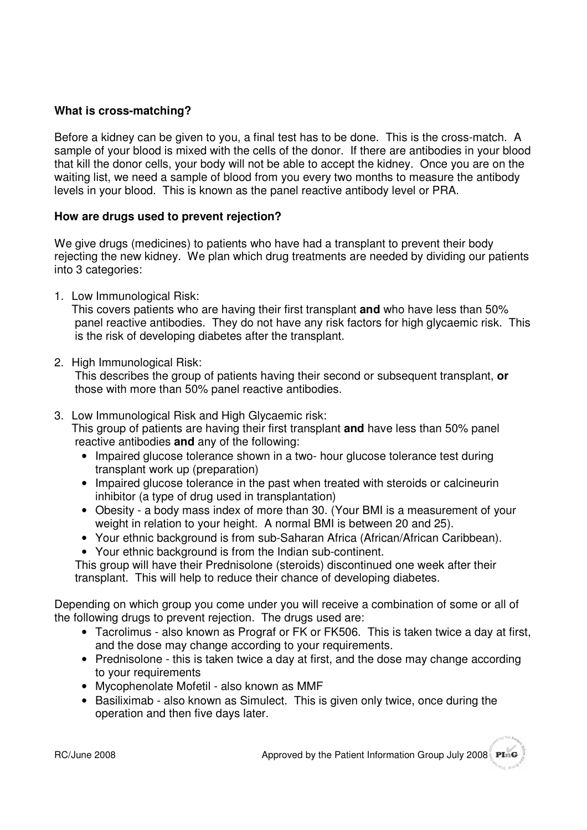# **What is cross-matching?**

Before a kidney can be given to you, a final test has to be done. This is the cross-match. A sample of your blood is mixed with the cells of the donor. If there are antibodies in your blood that kill the donor cells, your body will not be able to accept the kidney. Once you are on the waiting list, we need a sample of blood from you every two months to measure the antibody levels in your blood. This is known as the panel reactive antibody level or PRA.

### **How are drugs used to prevent rejection?**

We give drugs (medicines) to patients who have had a transplant to prevent their body rejecting the new kidney. We plan which drug treatments are needed by dividing our patients into 3 categories:

1. Low Immunological Risk:

This covers patients who are having their first transplant **and** who have less than 50% panel reactive antibodies. They do not have any risk factors for high glycaemic risk. This is the risk of developing diabetes after the transplant.

2. High Immunological Risk:

This describes the group of patients having their second or subsequent transplant, **or**  those with more than 50% panel reactive antibodies.

3. Low Immunological Risk and High Glycaemic risk:

This group of patients are having their first transplant **and** have less than 50% panel reactive antibodies **and** any of the following:

- Impaired glucose tolerance shown in a two- hour glucose tolerance test during transplant work up (preparation)
- Impaired glucose tolerance in the past when treated with steroids or calcineurin inhibitor (a type of drug used in transplantation)
- Obesity a body mass index of more than 30. (Your BMI is a measurement of your weight in relation to your height. A normal BMI is between 20 and 25).
- Your ethnic background is from sub-Saharan Africa (African/African Caribbean).
- Your ethnic background is from the Indian sub-continent.

This group will have their Prednisolone (steroids) discontinued one week after their transplant. This will help to reduce their chance of developing diabetes.

Depending on which group you come under you will receive a combination of some or all of the following drugs to prevent rejection. The drugs used are:

- Tacrolimus also known as Prograf or FK or FK506. This is taken twice a day at first, and the dose may change according to your requirements.
- Prednisolone this is taken twice a day at first, and the dose may change according to your requirements
- Mycophenolate Mofetil also known as MMF
- Basiliximab also known as Simulect. This is given only twice, once during the operation and then five days later.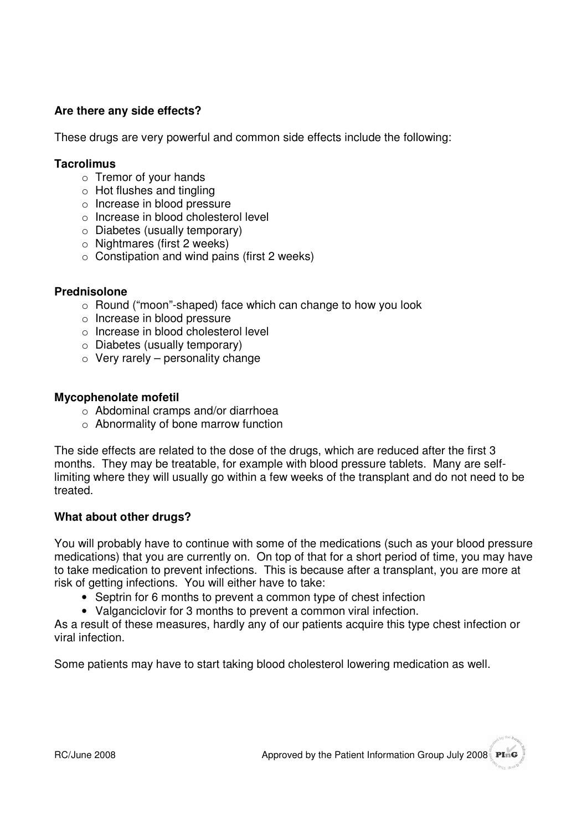# **Are there any side effects?**

These drugs are very powerful and common side effects include the following:

#### **Tacrolimus**

- o Tremor of your hands
- o Hot flushes and tingling
- o Increase in blood pressure
- o Increase in blood cholesterol level
- o Diabetes (usually temporary)
- o Nightmares (first 2 weeks)
- $\circ$  Constipation and wind pains (first 2 weeks)

#### **Prednisolone**

- o Round ("moon"-shaped) face which can change to how you look
- o Increase in blood pressure
- o Increase in blood cholesterol level
- o Diabetes (usually temporary)
- $\circ$  Very rarely personality change

#### **Mycophenolate mofetil**

- o Abdominal cramps and/or diarrhoea
- o Abnormality of bone marrow function

The side effects are related to the dose of the drugs, which are reduced after the first 3 months. They may be treatable, for example with blood pressure tablets. Many are selflimiting where they will usually go within a few weeks of the transplant and do not need to be treated.

### **What about other drugs?**

You will probably have to continue with some of the medications (such as your blood pressure medications) that you are currently on. On top of that for a short period of time, you may have to take medication to prevent infections. This is because after a transplant, you are more at risk of getting infections. You will either have to take:

- Septrin for 6 months to prevent a common type of chest infection
- Valganciclovir for 3 months to prevent a common viral infection.

As a result of these measures, hardly any of our patients acquire this type chest infection or viral infection.

Some patients may have to start taking blood cholesterol lowering medication as well.

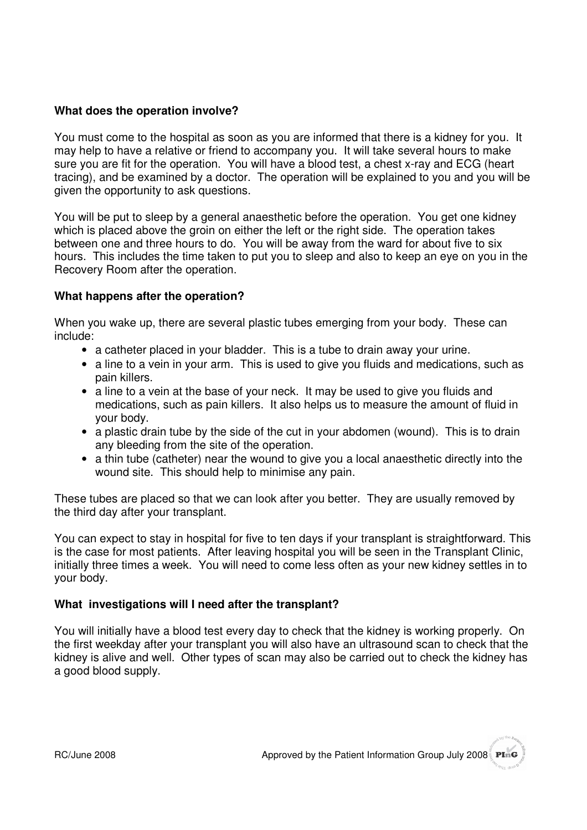# **What does the operation involve?**

You must come to the hospital as soon as you are informed that there is a kidney for you. It may help to have a relative or friend to accompany you. It will take several hours to make sure you are fit for the operation. You will have a blood test, a chest x-ray and ECG (heart tracing), and be examined by a doctor. The operation will be explained to you and you will be given the opportunity to ask questions.

You will be put to sleep by a general anaesthetic before the operation. You get one kidney which is placed above the groin on either the left or the right side. The operation takes between one and three hours to do. You will be away from the ward for about five to six hours. This includes the time taken to put you to sleep and also to keep an eye on you in the Recovery Room after the operation.

### **What happens after the operation?**

When you wake up, there are several plastic tubes emerging from your body. These can include:

- a catheter placed in your bladder. This is a tube to drain away your urine.
- a line to a vein in your arm. This is used to give you fluids and medications, such as pain killers.
- a line to a vein at the base of your neck. It may be used to give you fluids and medications, such as pain killers. It also helps us to measure the amount of fluid in your body.
- a plastic drain tube by the side of the cut in your abdomen (wound). This is to drain any bleeding from the site of the operation.
- a thin tube (catheter) near the wound to give you a local anaesthetic directly into the wound site. This should help to minimise any pain.

These tubes are placed so that we can look after you better. They are usually removed by the third day after your transplant.

You can expect to stay in hospital for five to ten days if your transplant is straightforward. This is the case for most patients. After leaving hospital you will be seen in the Transplant Clinic, initially three times a week. You will need to come less often as your new kidney settles in to your body.

### **What investigations will I need after the transplant?**

You will initially have a blood test every day to check that the kidney is working properly. On the first weekday after your transplant you will also have an ultrasound scan to check that the kidney is alive and well. Other types of scan may also be carried out to check the kidney has a good blood supply.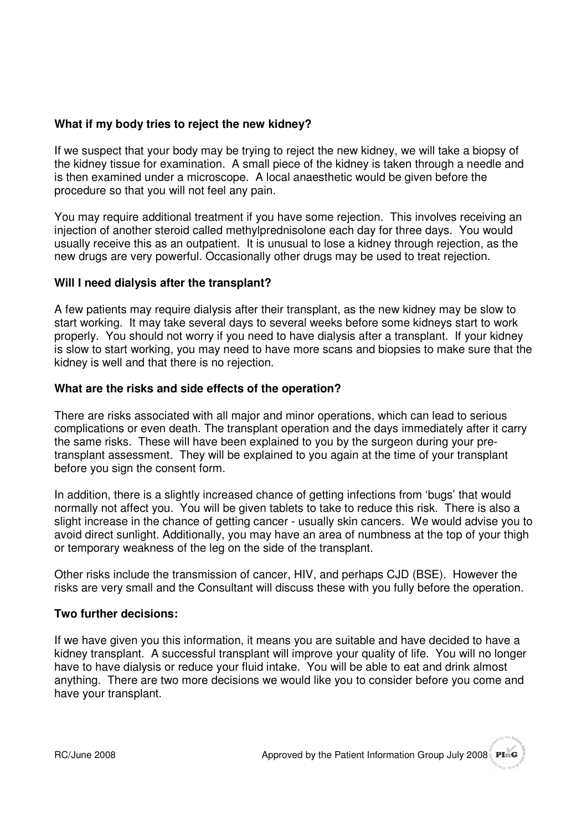# **What if my body tries to reject the new kidney?**

If we suspect that your body may be trying to reject the new kidney, we will take a biopsy of the kidney tissue for examination. A small piece of the kidney is taken through a needle and is then examined under a microscope. A local anaesthetic would be given before the procedure so that you will not feel any pain.

You may require additional treatment if you have some rejection. This involves receiving an injection of another steroid called methylprednisolone each day for three days. You would usually receive this as an outpatient. It is unusual to lose a kidney through rejection, as the new drugs are very powerful. Occasionally other drugs may be used to treat rejection.

### **Will I need dialysis after the transplant?**

A few patients may require dialysis after their transplant, as the new kidney may be slow to start working. It may take several days to several weeks before some kidneys start to work properly. You should not worry if you need to have dialysis after a transplant. If your kidney is slow to start working, you may need to have more scans and biopsies to make sure that the kidney is well and that there is no rejection.

### **What are the risks and side effects of the operation?**

There are risks associated with all major and minor operations, which can lead to serious complications or even death. The transplant operation and the days immediately after it carry the same risks. These will have been explained to you by the surgeon during your pretransplant assessment. They will be explained to you again at the time of your transplant before you sign the consent form.

In addition, there is a slightly increased chance of getting infections from 'bugs' that would normally not affect you. You will be given tablets to take to reduce this risk. There is also a slight increase in the chance of getting cancer - usually skin cancers. We would advise you to avoid direct sunlight. Additionally, you may have an area of numbness at the top of your thigh or temporary weakness of the leg on the side of the transplant.

Other risks include the transmission of cancer, HIV, and perhaps CJD (BSE). However the risks are very small and the Consultant will discuss these with you fully before the operation.

### **Two further decisions:**

If we have given you this information, it means you are suitable and have decided to have a kidney transplant. A successful transplant will improve your quality of life. You will no longer have to have dialysis or reduce your fluid intake. You will be able to eat and drink almost anything. There are two more decisions we would like you to consider before you come and have your transplant.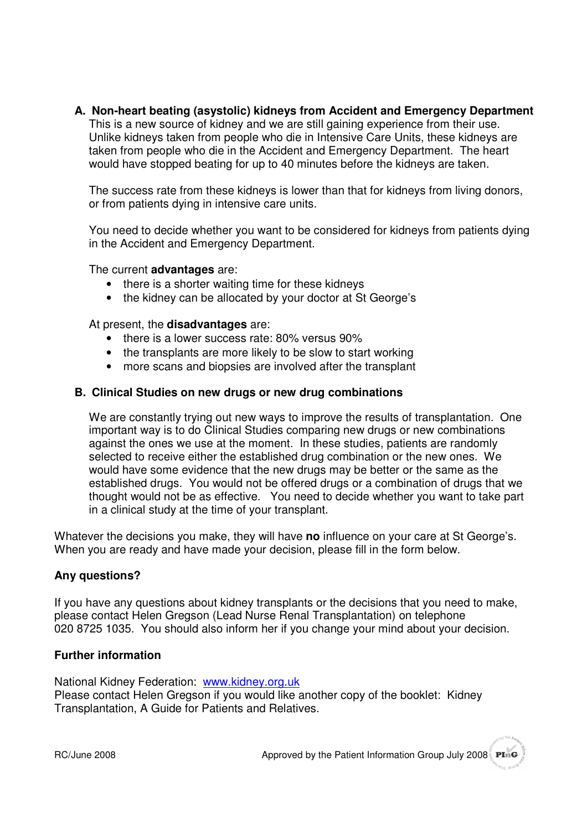### **A. Non-heart beating (asystolic) kidneys from Accident and Emergency Department**

This is a new source of kidney and we are still gaining experience from their use. Unlike kidneys taken from people who die in Intensive Care Units, these kidneys are taken from people who die in the Accident and Emergency Department. The heart would have stopped beating for up to 40 minutes before the kidneys are taken.

The success rate from these kidneys is lower than that for kidneys from living donors, or from patients dying in intensive care units.

You need to decide whether you want to be considered for kidneys from patients dying in the Accident and Emergency Department.

The current **advantages** are:

- there is a shorter waiting time for these kidneys
- the kidney can be allocated by your doctor at St George's

At present, the **disadvantages** are:

- there is a lower success rate: 80% versus 90%
- the transplants are more likely to be slow to start working
- more scans and biopsies are involved after the transplant

#### **B. Clinical Studies on new drugs or new drug combinations**

We are constantly trying out new ways to improve the results of transplantation. One important way is to do Clinical Studies comparing new drugs or new combinations against the ones we use at the moment. In these studies, patients are randomly selected to receive either the established drug combination or the new ones. We would have some evidence that the new drugs may be better or the same as the established drugs. You would not be offered drugs or a combination of drugs that we thought would not be as effective. You need to decide whether you want to take part in a clinical study at the time of your transplant.

Whatever the decisions you make, they will have **no** influence on your care at St George's. When you are ready and have made your decision, please fill in the form below.

### **Any questions?**

If you have any questions about kidney transplants or the decisions that you need to make, please contact Helen Gregson (Lead Nurse Renal Transplantation) on telephone 020 8725 1035. You should also inform her if you change your mind about your decision.

#### **Further information**

National Kidney Federation: www.kidney.org.uk Please contact Helen Gregson if you would like another copy of the booklet: Kidney Transplantation, A Guide for Patients and Relatives.